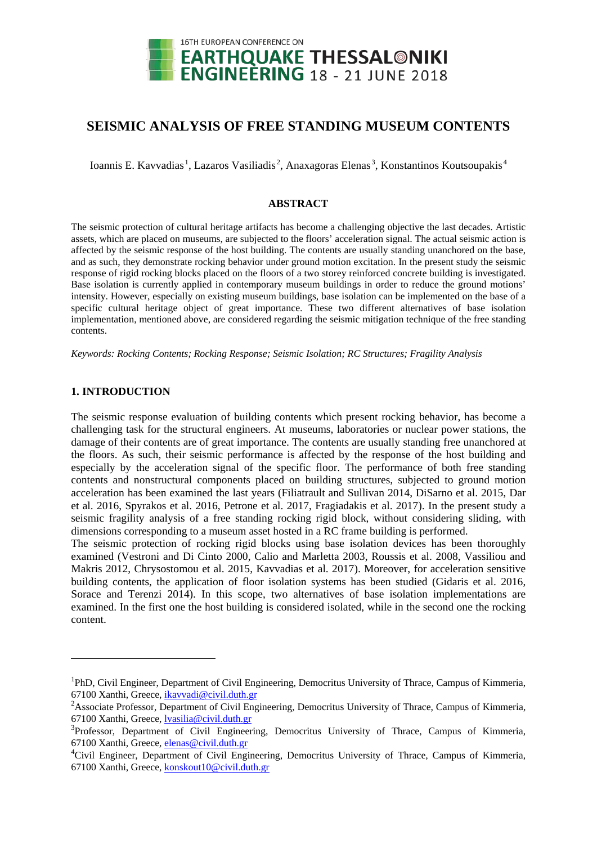

# **SEISMIC ANALYSIS OF FREE STANDING MUSEUM CONTENTS**

Ioannis E. Kavvadias<sup>[1](#page-0-0)</sup>, Lazaros Vasiliadis<sup>[2](#page-0-1)</sup>, Anaxagoras Elenas<sup>[3](#page-0-2)</sup>, Konstantinos Koutsoupakis<sup>[4](#page-0-3)</sup>

# **ABSTRACT**

The seismic protection of cultural heritage artifacts has become a challenging objective the last decades. Artistic assets, which are placed on museums, are subjected to the floors' acceleration signal. The actual seismic action is affected by the seismic response of the host building. The contents are usually standing unanchored on the base, and as such, they demonstrate rocking behavior under ground motion excitation. In the present study the seismic response of rigid rocking blocks placed on the floors of a two storey reinforced concrete building is investigated. Base isolation is currently applied in contemporary museum buildings in order to reduce the ground motions' intensity. However, especially on existing museum buildings, base isolation can be implemented on the base of a specific cultural heritage object of great importance. These two different alternatives of base isolation implementation, mentioned above, are considered regarding the seismic mitigation technique of the free standing contents.

*Keywords: Rocking Contents; Rocking Response; Seismic Isolation; RC Structures; Fragility Analysis*

# **1. INTRODUCTION**

<u>.</u>

The seismic response evaluation of building contents which present rocking behavior, has become a challenging task for the structural engineers. At museums, laboratories or nuclear power stations, the damage of their contents are of great importance. The contents are usually standing free unanchored at the floors. As such, their seismic performance is affected by the response of the host building and especially by the acceleration signal of the specific floor. The performance of both free standing contents and nonstructural components placed on building structures, subjected to ground motion acceleration has been examined the last years (Filiatrault and Sullivan 2014, DiSarno et al. 2015, Dar et al. 2016, Spyrakos et al. 2016, Petrone et al. 2017, Fragiadakis et al. 2017). In the present study a seismic fragility analysis of a free standing rocking rigid block, without considering sliding, with dimensions corresponding to a museum asset hosted in a RC frame building is performed.

The seismic protection of rocking rigid blocks using base isolation devices has been thoroughly examined (Vestroni and Di Cinto 2000, Calio and Marletta 2003, Roussis et al. 2008, Vassiliou and Makris 2012, Chrysostomou et al. 2015, Kavvadias et al. 2017). Moreover, for acceleration sensitive building contents, the application of floor isolation systems has been studied (Gidaris et al. 2016, Sorace and Terenzi 2014). In this scope, two alternatives of base isolation implementations are examined. In the first one the host building is considered isolated, while in the second one the rocking content.

<span id="page-0-0"></span><sup>&</sup>lt;sup>1</sup>PhD, Civil Engineer, Department of Civil Engineering, Democritus University of Thrace, Campus of Kimmeria, 67100 Xanthi, Greece, [ikavvadi@civil.duth.gr](mailto:ikavvadi@civil.duth.gr)

<span id="page-0-1"></span><sup>&</sup>lt;sup>2</sup> Associate Professor, Department of Civil Engineering, Democritus University of Thrace, Campus of Kimmeria, 67100 Xanthi, Greece, [lvasilia@c](mailto:lvasilia@)ivil.duth.gr

<span id="page-0-2"></span><sup>&</sup>lt;sup>3</sup>Professor, Department of Civil Engineering, Democritus University of Thrace, Campus of Kimmeria, 67100 Xanthi, Greece, [elenas@civil.duth.gr](mailto:emailaddress@canterbury.ac.nz)

<span id="page-0-3"></span><sup>&</sup>lt;sup>4</sup>Civil Engineer, Department of Civil Engineering, Democritus University of Thrace, Campus of Kimmeria, 67100 Xanthi, Greece, [konskout10@civil.duth.gr](mailto:konskout10@civil.duth.gr)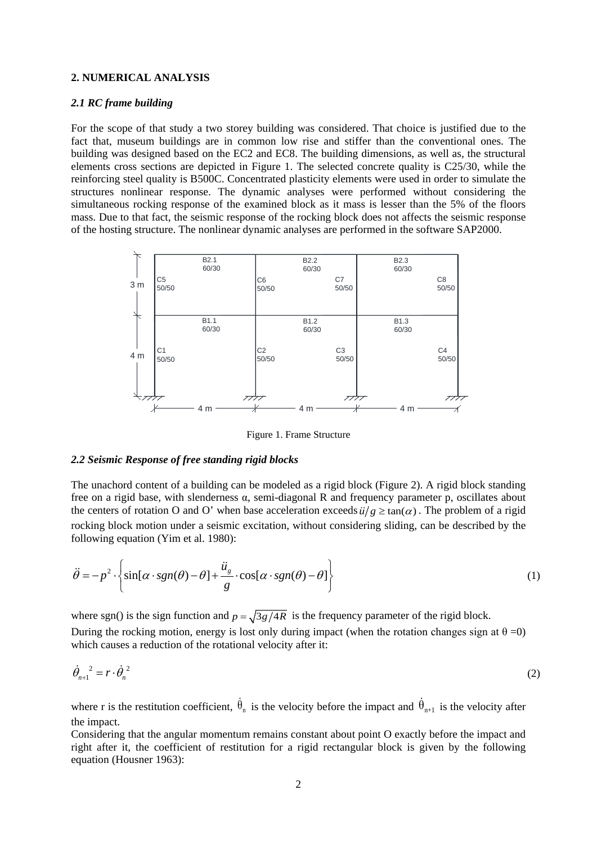# **2. NUMERICAL ANALYSIS**

### *2.1 RC frame building*

For the scope of that study a two storey building was considered. That choice is justified due to the fact that, museum buildings are in common low rise and stiffer than the conventional ones. The building was designed based on the EC2 and EC8. The building dimensions, as well as, the structural elements cross sections are depicted in Figure 1. The selected concrete quality is C25/30, while the reinforcing steel quality is B500C. Concentrated plasticity elements were used in order to simulate the structures nonlinear response. The dynamic analyses were performed without considering the simultaneous rocking response of the examined block as it mass is lesser than the 5% of the floors mass. Due to that fact, the seismic response of the rocking block does not affects the seismic response of the hosting structure. The nonlinear dynamic analyses are performed in the software SAP2000.



Figure 1. Frame Structure

# *2.2 Seismic Response of free standing rigid blocks*

The unachord content of a building can be modeled as a rigid block (Figure 2). A rigid block standing free on a rigid base, with slenderness α, semi-diagonal R and frequency parameter p, oscillates about the centers of rotation O and O' when base acceleration exceeds  $\ddot{u}/g \ge \tan(\alpha)$ . The problem of a rigid rocking block motion under a seismic excitation, without considering sliding, can be described by the following equation (Yim et al. 1980):

$$
\ddot{\theta} = -p^2 \cdot \left\{ \sin[\alpha \cdot sgn(\theta) - \theta] + \frac{\ddot{u}_s}{g} \cdot \cos[\alpha \cdot sgn(\theta) - \theta] \right\}
$$
(1)

where sgn() is the sign function and  $p = \sqrt{3g/4R}$  is the frequency parameter of the rigid block. During the rocking motion, energy is lost only during impact (when the rotation changes sign at  $\theta = 0$ ) which causes a reduction of the rotational velocity after it:

$$
\dot{\theta}_{n+1}^2 = r \cdot \dot{\theta}_n^2 \tag{2}
$$

where r is the restitution coefficient,  $\dot{\theta}_n$  is the velocity before the impact and  $\dot{\theta}_{n+1}$  is the velocity after the impact.

Considering that the angular momentum remains constant about point O exactly before the impact and right after it, the coefficient of restitution for a rigid rectangular block is given by the following equation (Housner 1963):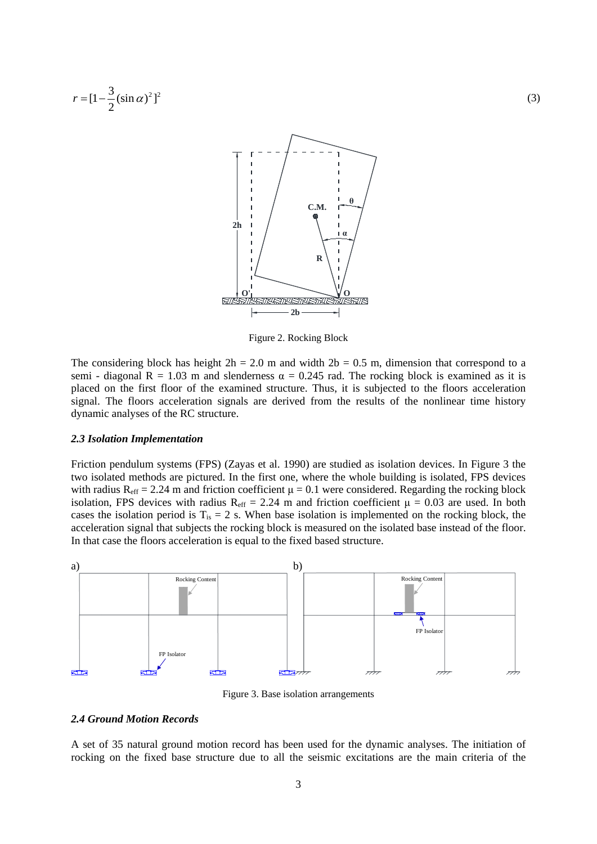

Figure 2. Rocking Block

The considering block has height  $2h = 2.0$  m and width  $2b = 0.5$  m, dimension that correspond to a semi - diagonal R = 1.03 m and slenderness  $\alpha = 0.245$  rad. The rocking block is examined as it is placed on the first floor of the examined structure. Thus, it is subjected to the floors acceleration signal. The floors acceleration signals are derived from the results of the nonlinear time history dynamic analyses of the RC structure.

#### *2.3 Isolation Implementation*

Friction pendulum systems (FPS) (Zayas et al. 1990) are studied as isolation devices. In Figure 3 the two isolated methods are pictured. In the first one, where the whole building is isolated, FPS devices with radius  $R_{\text{eff}} = 2.24$  m and friction coefficient  $\mu = 0.1$  were considered. Regarding the rocking block isolation, FPS devices with radius  $R_{\text{eff}} = 2.24$  m and friction coefficient  $\mu = 0.03$  are used. In both cases the isolation period is  $T_{is} = 2$  s. When base isolation is implemented on the rocking block, the acceleration signal that subjects the rocking block is measured on the isolated base instead of the floor. In that case the floors acceleration is equal to the fixed based structure.



Figure 3. Base isolation arrangements

# *2.4 Ground Motion Records*

A set of 35 natural ground motion record has been used for the dynamic analyses. The initiation of rocking on the fixed base structure due to all the seismic excitations are the main criteria of the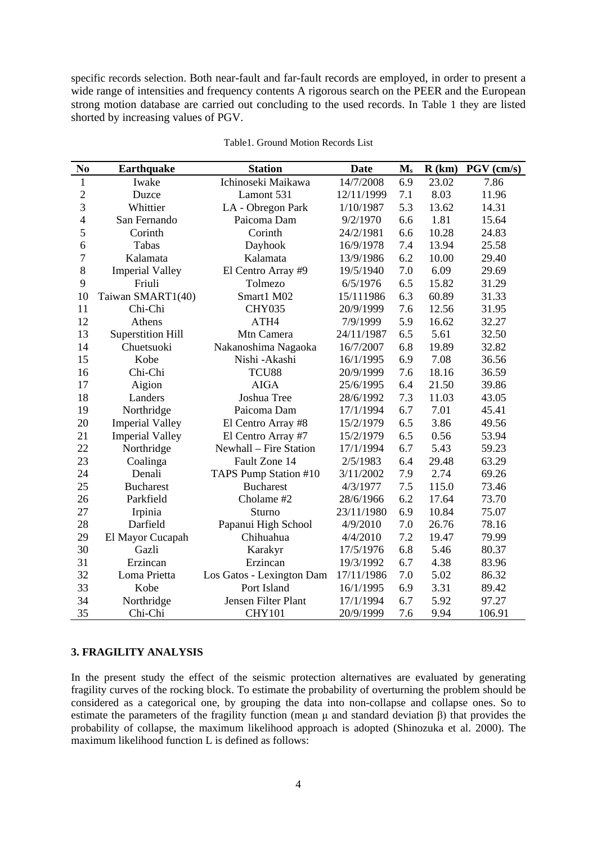specific records selection. Both near-fault and far-fault records are employed, in order to present a wide range of intensities and frequency contents A rigorous search on the PEER and the European strong motion database are carried out concluding to the used records. In Table 1 they are listed shorted by increasing values of PGV.

| N <sub>0</sub>   | <b>Earthquake</b>        | <b>Station</b>            | <b>Date</b> | $\mathbf{M}_s$ | R(km) | $PGV$ (cm/s) |
|------------------|--------------------------|---------------------------|-------------|----------------|-------|--------------|
| $\mathbf{1}$     | Iwake                    | Ichinoseki Maikawa        | 14/7/2008   | 6.9            | 23.02 | 7.86         |
| $\overline{c}$   | Duzce                    | Lamont 531                | 12/11/1999  | 7.1            | 8.03  | 11.96        |
| 3                | Whittier                 | LA - Obregon Park         | 1/10/1987   | 5.3            | 13.62 | 14.31        |
| $\overline{4}$   | San Fernando             | Paicoma Dam               | 9/2/1970    | 6.6            | 1.81  | 15.64        |
| 5                | Corinth                  | Corinth                   | 24/2/1981   | 6.6            | 10.28 | 24.83        |
| 6                | Tabas                    | Dayhook                   | 16/9/1978   | 7.4            | 13.94 | 25.58        |
| $\boldsymbol{7}$ | Kalamata                 | Kalamata                  | 13/9/1986   | 6.2            | 10.00 | 29.40        |
| 8                | <b>Imperial Valley</b>   | El Centro Array #9        | 19/5/1940   | 7.0            | 6.09  | 29.69        |
| 9                | Friuli                   | Tolmezo                   | 6/5/1976    | 6.5            | 15.82 | 31.29        |
| 10               | Taiwan SMART1(40)        | Smart1 M02                | 15/111986   | 6.3            | 60.89 | 31.33        |
| 11               | Chi-Chi                  | <b>CHY035</b>             | 20/9/1999   | 7.6            | 12.56 | 31.95        |
| 12               | Athens                   | ATH4                      | 7/9/1999    | 5.9            | 16.62 | 32.27        |
| 13               | <b>Superstition Hill</b> | Mtn Camera                | 24/11/1987  | 6.5            | 5.61  | 32.50        |
| 14               | Chuetsuoki               | Nakanoshima Nagaoka       | 16/7/2007   | 6.8            | 19.89 | 32.82        |
| 15               | Kobe                     | Nishi -Akashi             | 16/1/1995   | 6.9            | 7.08  | 36.56        |
| 16               | Chi-Chi                  | TCU88                     | 20/9/1999   | 7.6            | 18.16 | 36.59        |
| 17               | Aigion                   | <b>AIGA</b>               | 25/6/1995   | 6.4            | 21.50 | 39.86        |
| 18               | Landers                  | Joshua Tree               | 28/6/1992   | 7.3            | 11.03 | 43.05        |
| 19               | Northridge               | Paicoma Dam               | 17/1/1994   | 6.7            | 7.01  | 45.41        |
| 20               | <b>Imperial Valley</b>   | El Centro Array #8        | 15/2/1979   | 6.5            | 3.86  | 49.56        |
| 21               | <b>Imperial Valley</b>   | El Centro Array #7        | 15/2/1979   | 6.5            | 0.56  | 53.94        |
| 22               | Northridge               | Newhall - Fire Station    | 17/1/1994   | 6.7            | 5.43  | 59.23        |
| 23               | Coalinga                 | Fault Zone 14             | 2/5/1983    | 6.4            | 29.48 | 63.29        |
| 24               | Denali                   | TAPS Pump Station #10     | 3/11/2002   | 7.9            | 2.74  | 69.26        |
| 25               | <b>Bucharest</b>         | <b>Bucharest</b>          | 4/3/1977    | 7.5            | 115.0 | 73.46        |
| 26               | Parkfield                | Cholame #2                | 28/6/1966   | 6.2            | 17.64 | 73.70        |
| 27               | Irpinia                  | Sturno                    | 23/11/1980  | 6.9            | 10.84 | 75.07        |
| 28               | Darfield                 | Papanui High School       | 4/9/2010    | 7.0            | 26.76 | 78.16        |
| 29               | El Mayor Cucapah         | Chihuahua                 | 4/4/2010    | 7.2            | 19.47 | 79.99        |
| 30               | Gazli                    | Karakyr                   | 17/5/1976   | 6.8            | 5.46  | 80.37        |
| 31               | Erzincan                 | Erzincan                  | 19/3/1992   | 6.7            | 4.38  | 83.96        |
| 32               | Loma Prietta             | Los Gatos - Lexington Dam | 17/11/1986  | 7.0            | 5.02  | 86.32        |
| 33               | Kobe                     | Port Island               | 16/1/1995   | 6.9            | 3.31  | 89.42        |
| 34               | Northridge               | Jensen Filter Plant       | 17/1/1994   | 6.7            | 5.92  | 97.27        |
| 35               | Chi-Chi                  | <b>CHY101</b>             | 20/9/1999   | 7.6            | 9.94  | 106.91       |

Table1. Ground Motion Records List

# **3. FRAGILITY ANALYSIS**

In the present study the effect of the seismic protection alternatives are evaluated by generating fragility curves of the rocking block. To estimate the probability of overturning the problem should be considered as a categorical one, by grouping the data into non-collapse and collapse ones. So to estimate the parameters of the fragility function (mean μ and standard deviation β) that provides the probability of collapse, the maximum likelihood approach is adopted (Shinozuka et al. 2000). The maximum likelihood function L is defined as follows: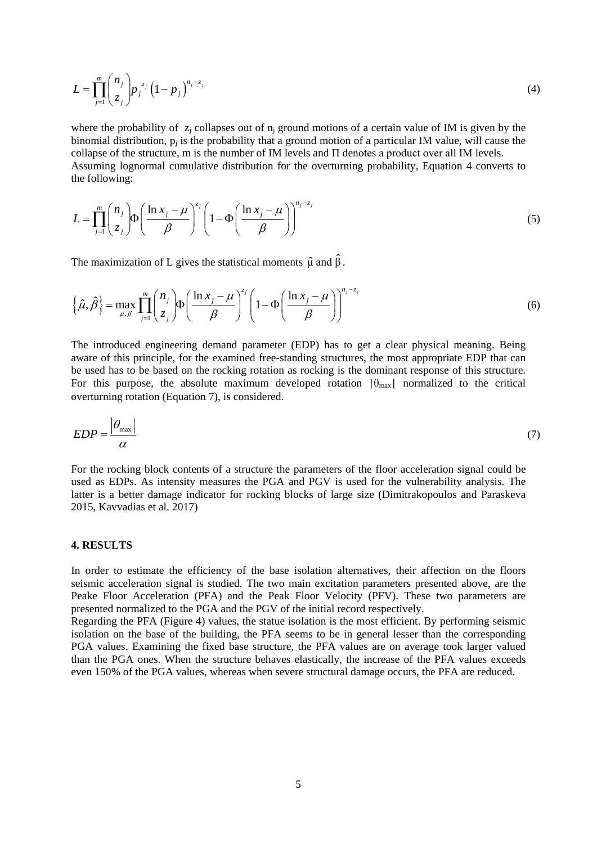$$
L = \prod_{j=1}^{m} {n_j \choose z_j} p_j^{z_j} (1 - p_j)^{n_j - z_j}
$$
 (4)

where the probability of  $z_i$  collapses out of  $n_i$  ground motions of a certain value of IM is given by the binomial distribution,  $p_i$  is the probability that a ground motion of a particular IM value, will cause the collapse of the structure, m is the number of IM levels and Π denotes a product over all ΙΜ levels. Assuming lognormal cumulative distribution for the overturning probability, Equation 4 converts to the following:

$$
L = \prod_{j=1}^{m} {n_j \choose z_j} \Phi\left(\frac{\ln x_j - \mu}{\beta}\right)^{z_j} \left(1 - \Phi\left(\frac{\ln x_j - \mu}{\beta}\right)\right)^{n_j - z_j} \tag{5}
$$

The maximization of L gives the statistical moments  $\hat{\mu}$  and  $\hat{\beta}$ .

$$
\left\{\hat{\mu},\hat{\beta}\right\} = \max_{\mu,\beta} \prod_{j=1}^{m} {n_j \choose z_j} \Phi\left(\frac{\ln x_j - \mu}{\beta}\right)^{z_j} \left(1 - \Phi\left(\frac{\ln x_j - \mu}{\beta}\right)\right)^{n_j - z_j} \tag{6}
$$

The introduced engineering demand parameter (EDP) has to get a clear physical meaning. Being aware of this principle, for the examined free-standing structures, the most appropriate EDP that can be used has to be based on the rocking rotation as rocking is the dominant response of this structure. For this purpose, the absolute maximum developed rotation  $|\theta_{\text{max}}|$  normalized to the critical overturning rotation (Equation 7), is considered.

$$
EDP = \frac{\left|\theta_{\text{max}}\right|}{\alpha} \tag{7}
$$

For the rocking block contents of a structure the parameters of the floor acceleration signal could be used as EDPs. As intensity measures the PGA and PGV is used for the vulnerability analysis. The latter is a better damage indicator for rocking blocks of large size (Dimitrakopoulos and Paraskeva 2015, Kavvadias et al. 2017)

# **4. RESULTS**

In order to estimate the efficiency of the base isolation alternatives, their affection on the floors seismic acceleration signal is studied. The two main excitation parameters presented above, are the Peake Floor Acceleration (PFA) and the Peak Floor Velocity (PFV). These two parameters are presented normalized to the PGA and the PGV of the initial record respectively.

Regarding the PFA (Figure 4) values, the statue isolation is the most efficient. By performing seismic isolation on the base of the building, the PFA seems to be in general lesser than the corresponding PGA values. Examining the fixed base structure, the PFA values are on average took larger valued than the PGA ones. When the structure behaves elastically, the increase of the PFA values exceeds even 150% of the PGA values, whereas when severe structural damage occurs, the PFA are reduced.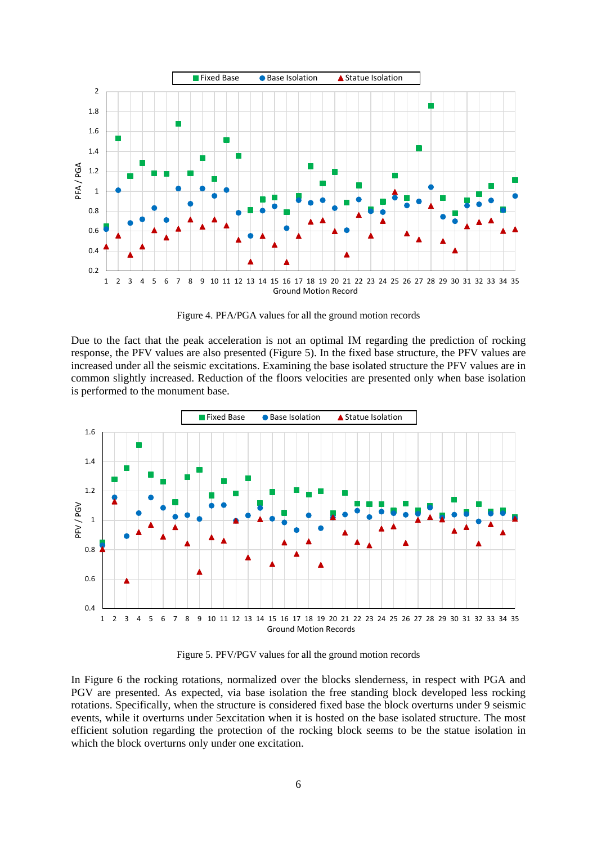

Figure 4. PFA/PGA values for all the ground motion records

Due to the fact that the peak acceleration is not an optimal IM regarding the prediction of rocking response, the PFV values are also presented (Figure 5). In the fixed base structure, the PFV values are increased under all the seismic excitations. Examining the base isolated structure the PFV values are in common slightly increased. Reduction of the floors velocities are presented only when base isolation is performed to the monument base.



Figure 5. PFV/PGV values for all the ground motion records

In Figure 6 the rocking rotations, normalized over the blocks slenderness, in respect with PGA and PGV are presented. As expected, via base isolation the free standing block developed less rocking rotations. Specifically, when the structure is considered fixed base the block overturns under 9 seismic events, while it overturns under 5excitation when it is hosted on the base isolated structure. The most efficient solution regarding the protection of the rocking block seems to be the statue isolation in which the block overturns only under one excitation.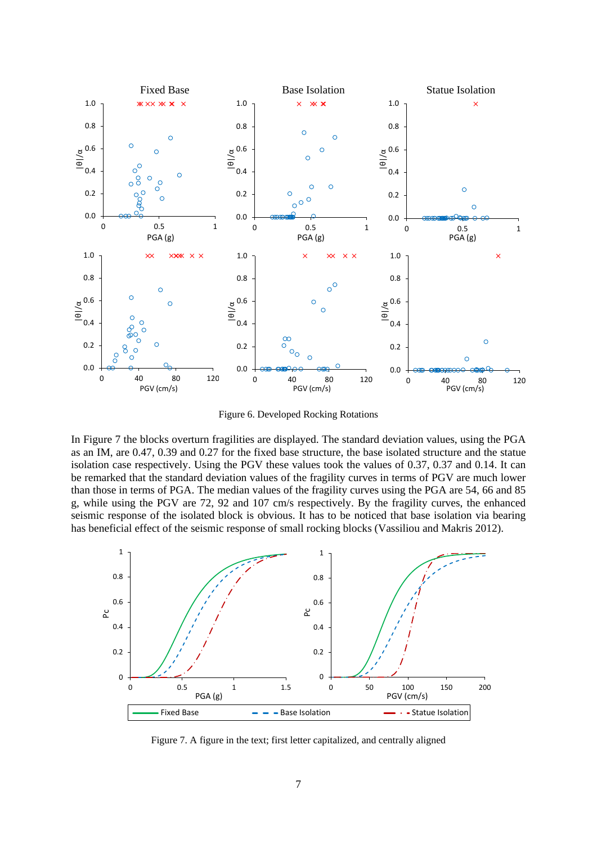

Figure 6. Developed Rocking Rotations

In Figure 7 the blocks overturn fragilities are displayed. The standard deviation values, using the PGA as an IM, are 0.47, 0.39 and 0.27 for the fixed base structure, the base isolated structure and the statue isolation case respectively. Using the PGV these values took the values of 0.37, 0.37 and 0.14. It can be remarked that the standard deviation values of the fragility curves in terms of PGV are much lower than those in terms of PGA. The median values of the fragility curves using the PGA are 54, 66 and 85 g, while using the PGV are 72, 92 and 107 cm/s respectively. By the fragility curves, the enhanced seismic response of the isolated block is obvious. It has to be noticed that base isolation via bearing has beneficial effect of the seismic response of small rocking blocks (Vassiliou and Makris 2012).



Figure 7. A figure in the text; first letter capitalized, and centrally aligned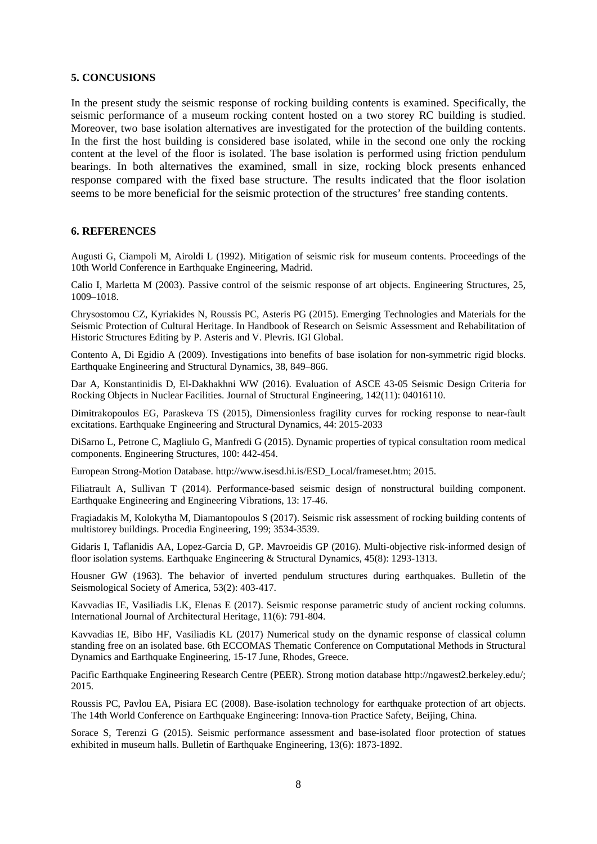### **5. CONCUSIONS**

In the present study the seismic response of rocking building contents is examined. Specifically, the seismic performance of a museum rocking content hosted on a two storey RC building is studied. Moreover, two base isolation alternatives are investigated for the protection of the building contents. In the first the host building is considered base isolated, while in the second one only the rocking content at the level of the floor is isolated. The base isolation is performed using friction pendulum bearings. In both alternatives the examined, small in size, rocking block presents enhanced response compared with the fixed base structure. The results indicated that the floor isolation seems to be more beneficial for the seismic protection of the structures' free standing contents.

### **6. REFERENCES**

Augusti G, Ciampoli M, Airoldi L (1992). Mitigation of seismic risk for museum contents. Proceedings of the 10th World Conference in Earthquake Engineering, Madrid.

Calio I, Marletta M (2003). Passive control of the seismic response of art objects. Engineering Structures, 25, 1009–1018.

Chrysostomou CZ, Kyriakides N, Roussis PC, Asteris PG (2015). Emerging Technologies and Materials for the Seismic Protection of Cultural Heritage. In Handbook of Research on Seismic Assessment and Rehabilitation of Historic Structures Editing by P. Asteris and V. Plevris. IGI Global.

Contento A, Di Egidio A (2009). Investigations into benefits of base isolation for non-symmetric rigid blocks. Earthquake Engineering and Structural Dynamics, 38, 849–866.

Dar A, Konstantinidis D, El-Dakhakhni WW (2016). Evaluation of ASCE 43-05 Seismic Design Criteria for Rocking Objects in Nuclear Facilities. Journal of Structural Engineering, 142(11): 04016110.

Dimitrakopoulos EG, Paraskeva TS (2015), Dimensionless fragility curves for rocking response to near-fault excitations. Earthquake Engineering and Structural Dynamics, 44: 2015-2033

DiSarno L, Petrone C, Magliulo G, Manfredi G (2015). Dynamic properties of typical consultation room medical components. Engineering Structures, 100: 442-454.

European Strong-Motion Database. http://www.isesd.hi.is/ESD\_Local/frameset.htm; 2015.

Filiatrault A, Sullivan T (2014). Performance-based seismic design of nonstructural building component. Earthquake Engineering and Engineering Vibrations, 13: 17-46.

Fragiadakis M, Kolokytha M, [Diamantopoulos](https://www.scopus.com/authid/detail.uri?authorId=57195838550&eid=2-s2.0-85029899925) S (2017). Seismic risk assessment of rocking building contents of multistorey buildings. Procedia Engineering, 199; 3534-3539.

Gidaris I, Taflanidis AA, Lopez-Garcia D, GP. Mavroeidis GP (2016). Multi-objective risk-informed design of floor isolation systems. Earthquake Engineering & Structural Dynamics, 45(8): 1293-1313.

Housner GW (1963). The behavior of inverted pendulum structures during earthquakes. Bulletin of the Seismological Society of America, 53(2): 403-417.

Kavvadias IE, Vasiliadis LK, Elenas E (2017). Seismic response parametric study of ancient rocking columns. International Journal of Architectural Heritage, 11(6): 791-804.

Kavvadias IE, Bibo HF, Vasiliadis KL (2017) Numerical study on the dynamic response of classical column standing free on an isolated base. 6th ECCOMAS Thematic Conference on Computational Methods in Structural Dynamics and Earthquake Engineering, 15-17 June, Rhodes, Greece.

Pacific Earthquake Engineering Research Centre (PEER). Strong motion database http://ngawest2.berkeley.edu/; 2015.

Roussis PC, Pavlou EA, Pisiara EC (2008). Base-isolation technology for earthquake protection of art objects. The 14th World Conference on Earthquake Engineering: Innova-tion Practice Safety, Beijing, China.

Sorace S, Terenzi G (2015). Seismic performance assessment and base-isolated floor protection of statues exhibited in museum halls. Bulletin of Earthquake Engineering, 13(6): 1873-1892.